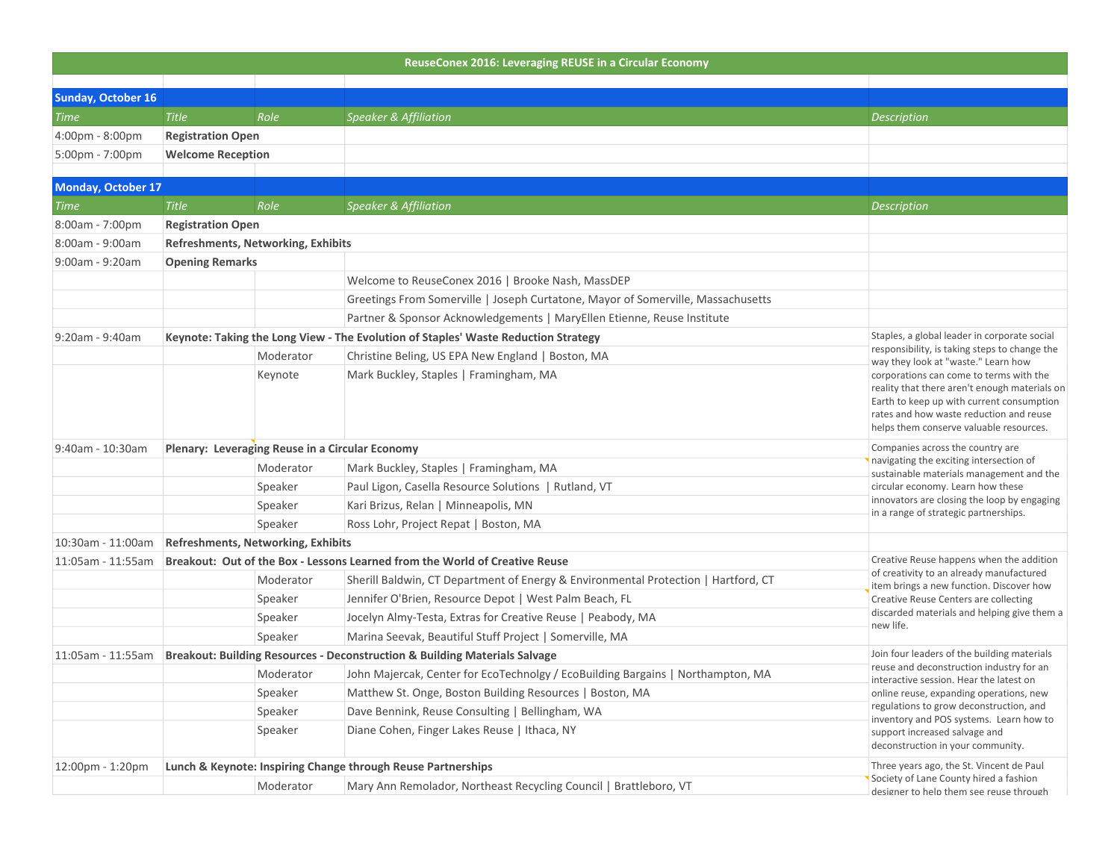| ReuseConex 2016: Leveraging REUSE in a Circular Economy |                                                              |           |                                                                                    |                                                                                                                                                                                                                             |  |  |
|---------------------------------------------------------|--------------------------------------------------------------|-----------|------------------------------------------------------------------------------------|-----------------------------------------------------------------------------------------------------------------------------------------------------------------------------------------------------------------------------|--|--|
|                                                         |                                                              |           |                                                                                    |                                                                                                                                                                                                                             |  |  |
| <b>Sunday, October 16</b>                               |                                                              |           |                                                                                    |                                                                                                                                                                                                                             |  |  |
| <b>Time</b>                                             | <b>Title</b><br>Role                                         |           | <b>Speaker &amp; Affiliation</b>                                                   | <b>Description</b>                                                                                                                                                                                                          |  |  |
| 4:00pm - 8:00pm                                         | <b>Registration Open</b>                                     |           |                                                                                    |                                                                                                                                                                                                                             |  |  |
| 5:00pm - 7:00pm                                         | <b>Welcome Reception</b>                                     |           |                                                                                    |                                                                                                                                                                                                                             |  |  |
| Monday, October 17                                      |                                                              |           |                                                                                    |                                                                                                                                                                                                                             |  |  |
| <b>Time</b>                                             | <b>Title</b><br>Role                                         |           | <b>Speaker &amp; Affiliation</b>                                                   | <b>Description</b>                                                                                                                                                                                                          |  |  |
| 8:00am - 7:00pm                                         | <b>Registration Open</b>                                     |           |                                                                                    |                                                                                                                                                                                                                             |  |  |
| 8:00am - 9:00am                                         | Refreshments, Networking, Exhibits                           |           |                                                                                    |                                                                                                                                                                                                                             |  |  |
| 9:00am - 9:20am                                         | <b>Opening Remarks</b>                                       |           |                                                                                    |                                                                                                                                                                                                                             |  |  |
|                                                         |                                                              |           | Welcome to ReuseConex 2016   Brooke Nash, MassDEP                                  |                                                                                                                                                                                                                             |  |  |
|                                                         |                                                              |           | Greetings From Somerville   Joseph Curtatone, Mayor of Somerville, Massachusetts   |                                                                                                                                                                                                                             |  |  |
|                                                         |                                                              |           | Partner & Sponsor Acknowledgements   MaryEllen Etienne, Reuse Institute            |                                                                                                                                                                                                                             |  |  |
| $9:20$ am - $9:40$ am                                   |                                                              |           | Keynote: Taking the Long View - The Evolution of Staples' Waste Reduction Strategy | Staples, a global leader in corporate social                                                                                                                                                                                |  |  |
|                                                         |                                                              | Moderator | Christine Beling, US EPA New England   Boston, MA                                  | responsibility, is taking steps to change the<br>way they look at "waste." Learn how                                                                                                                                        |  |  |
|                                                         | Keynote                                                      |           | Mark Buckley, Staples   Framingham, MA                                             | corporations can come to terms with the<br>reality that there aren't enough materials on<br>Earth to keep up with current consumption<br>rates and how waste reduction and reuse<br>helps them conserve valuable resources. |  |  |
| 9:40am - 10:30am                                        | Plenary: Leveraging Reuse in a Circular Economy              |           |                                                                                    | Companies across the country are                                                                                                                                                                                            |  |  |
|                                                         |                                                              | Moderator | Mark Buckley, Staples   Framingham, MA                                             | navigating the exciting intersection of<br>sustainable materials management and the                                                                                                                                         |  |  |
|                                                         | Speaker                                                      |           | Paul Ligon, Casella Resource Solutions   Rutland, VT                               | circular economy. Learn how these                                                                                                                                                                                           |  |  |
|                                                         | Speaker                                                      |           | Kari Brizus, Relan   Minneapolis, MN                                               | innovators are closing the loop by engaging<br>in a range of strategic partnerships.                                                                                                                                        |  |  |
|                                                         | Speaker                                                      |           | Ross Lohr, Project Repat   Boston, MA                                              |                                                                                                                                                                                                                             |  |  |
| 10:30am - 11:00am                                       | Refreshments, Networking, Exhibits                           |           |                                                                                    |                                                                                                                                                                                                                             |  |  |
| 11:05am - 11:55am                                       |                                                              |           | Breakout: Out of the Box - Lessons Learned from the World of Creative Reuse        | Creative Reuse happens when the addition                                                                                                                                                                                    |  |  |
|                                                         |                                                              | Moderator | Sherill Baldwin, CT Department of Energy & Environmental Protection   Hartford, CT | of creativity to an already manufactured<br>item brings a new function. Discover how                                                                                                                                        |  |  |
|                                                         | Speaker                                                      |           | Jennifer O'Brien, Resource Depot   West Palm Beach, FL                             | Creative Reuse Centers are collecting                                                                                                                                                                                       |  |  |
|                                                         | Speaker                                                      |           | Jocelyn Almy-Testa, Extras for Creative Reuse   Peabody, MA                        | discarded materials and helping give them a<br>new life.                                                                                                                                                                    |  |  |
|                                                         | Speaker                                                      |           | Marina Seevak, Beautiful Stuff Project   Somerville, MA                            |                                                                                                                                                                                                                             |  |  |
| 11:05am - 11:55am                                       |                                                              |           | Breakout: Building Resources - Deconstruction & Building Materials Salvage         | Join four leaders of the building materials                                                                                                                                                                                 |  |  |
|                                                         |                                                              | Moderator | John Majercak, Center for EcoTechnolgy / EcoBuilding Bargains   Northampton, MA    | reuse and deconstruction industry for an<br>interactive session. Hear the latest on                                                                                                                                         |  |  |
|                                                         | Speaker                                                      |           | Matthew St. Onge, Boston Building Resources   Boston, MA                           | online reuse, expanding operations, new                                                                                                                                                                                     |  |  |
|                                                         | Speaker                                                      |           | Dave Bennink, Reuse Consulting   Bellingham, WA                                    | regulations to grow deconstruction, and<br>inventory and POS systems. Learn how to                                                                                                                                          |  |  |
|                                                         | Speaker                                                      |           | Diane Cohen, Finger Lakes Reuse   Ithaca, NY                                       | support increased salvage and<br>deconstruction in your community.                                                                                                                                                          |  |  |
| 12:00pm - 1:20pm                                        | Lunch & Keynote: Inspiring Change through Reuse Partnerships |           |                                                                                    | Three years ago, the St. Vincent de Paul                                                                                                                                                                                    |  |  |
|                                                         |                                                              | Moderator | Mary Ann Remolador, Northeast Recycling Council   Brattleboro, VT                  | Society of Lane County hired a fashion<br>designer to help them see reuse through                                                                                                                                           |  |  |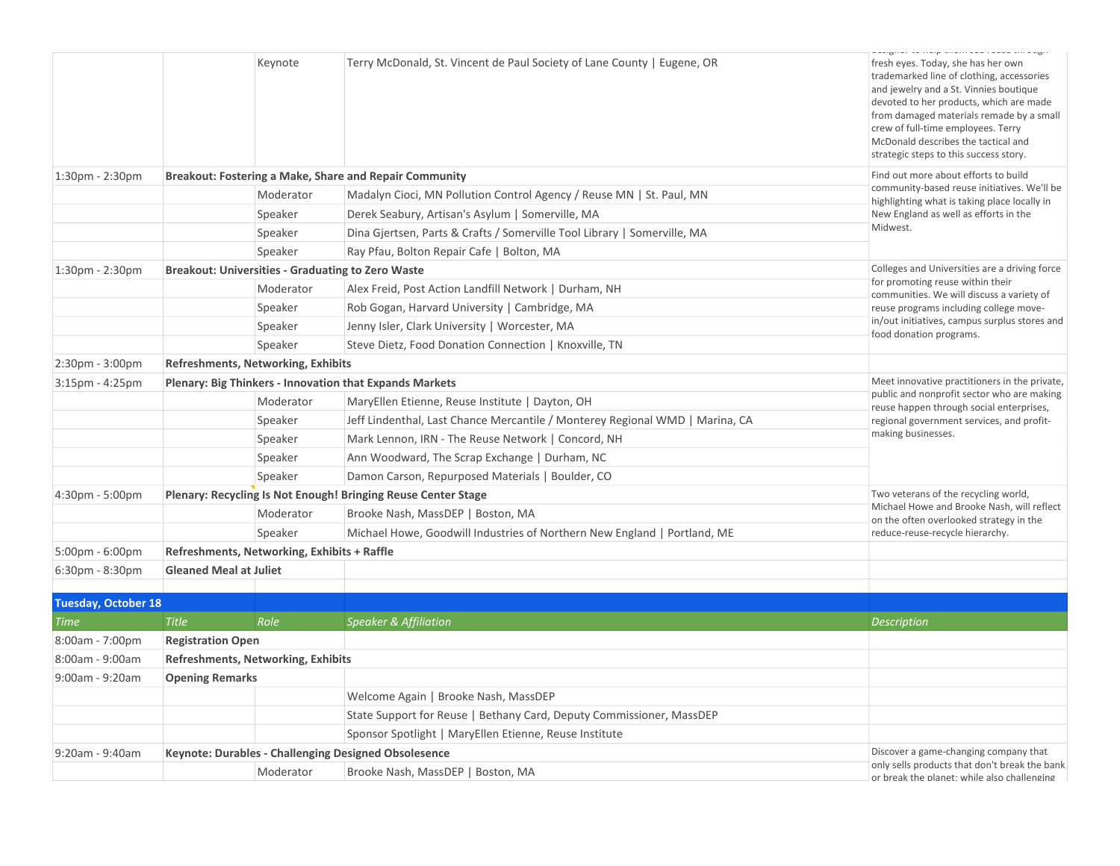|                            |                                                        |           |                                                                              | acagnor to noip thom accircuacitin ough                                                                                                                                                                                                                                                                                                 |  |  |
|----------------------------|--------------------------------------------------------|-----------|------------------------------------------------------------------------------|-----------------------------------------------------------------------------------------------------------------------------------------------------------------------------------------------------------------------------------------------------------------------------------------------------------------------------------------|--|--|
|                            |                                                        | Keynote   | Terry McDonald, St. Vincent de Paul Society of Lane County   Eugene, OR      | fresh eyes. Today, she has her own<br>trademarked line of clothing, accessories<br>and jewelry and a St. Vinnies boutique<br>devoted to her products, which are made<br>from damaged materials remade by a small<br>crew of full-time employees. Terry<br>McDonald describes the tactical and<br>strategic steps to this success story. |  |  |
| 1:30pm - 2:30pm            | Breakout: Fostering a Make, Share and Repair Community |           | Find out more about efforts to build                                         |                                                                                                                                                                                                                                                                                                                                         |  |  |
|                            |                                                        | Moderator | Madalyn Cioci, MN Pollution Control Agency / Reuse MN   St. Paul, MN         | community-based reuse initiatives. We'll be<br>highlighting what is taking place locally in                                                                                                                                                                                                                                             |  |  |
|                            |                                                        | Speaker   | Derek Seabury, Artisan's Asylum   Somerville, MA                             | New England as well as efforts in the                                                                                                                                                                                                                                                                                                   |  |  |
|                            |                                                        | Speaker   | Dina Gjertsen, Parts & Crafts / Somerville Tool Library   Somerville, MA     | Midwest.                                                                                                                                                                                                                                                                                                                                |  |  |
|                            |                                                        | Speaker   | Ray Pfau, Bolton Repair Cafe   Bolton, MA                                    |                                                                                                                                                                                                                                                                                                                                         |  |  |
| 1:30pm - 2:30pm            |                                                        |           | <b>Breakout: Universities - Graduating to Zero Waste</b>                     | Colleges and Universities are a driving force                                                                                                                                                                                                                                                                                           |  |  |
|                            |                                                        | Moderator | Alex Freid, Post Action Landfill Network   Durham, NH                        | for promoting reuse within their<br>communities. We will discuss a variety of                                                                                                                                                                                                                                                           |  |  |
|                            |                                                        | Speaker   | Rob Gogan, Harvard University   Cambridge, MA                                | reuse programs including college move-                                                                                                                                                                                                                                                                                                  |  |  |
|                            |                                                        | Speaker   | Jenny Isler, Clark University   Worcester, MA                                | in/out initiatives, campus surplus stores and                                                                                                                                                                                                                                                                                           |  |  |
|                            |                                                        | Speaker   | Steve Dietz, Food Donation Connection   Knoxville, TN                        | food donation programs.                                                                                                                                                                                                                                                                                                                 |  |  |
| 2:30pm - 3:00pm            | <b>Refreshments, Networking, Exhibits</b>              |           |                                                                              |                                                                                                                                                                                                                                                                                                                                         |  |  |
| $3:15$ pm - $4:25$ pm      |                                                        |           | <b>Plenary: Big Thinkers - Innovation that Expands Markets</b>               | Meet innovative practitioners in the private,                                                                                                                                                                                                                                                                                           |  |  |
|                            |                                                        | Moderator | MaryEllen Etienne, Reuse Institute   Dayton, OH                              | public and nonprofit sector who are making<br>reuse happen through social enterprises,                                                                                                                                                                                                                                                  |  |  |
|                            |                                                        | Speaker   | Jeff Lindenthal, Last Chance Mercantile / Monterey Regional WMD   Marina, CA | regional government services, and profit-                                                                                                                                                                                                                                                                                               |  |  |
|                            |                                                        | Speaker   | Mark Lennon, IRN - The Reuse Network   Concord, NH                           | making businesses.                                                                                                                                                                                                                                                                                                                      |  |  |
|                            |                                                        | Speaker   | Ann Woodward, The Scrap Exchange   Durham, NC                                |                                                                                                                                                                                                                                                                                                                                         |  |  |
|                            |                                                        | Speaker   | Damon Carson, Repurposed Materials   Boulder, CO                             |                                                                                                                                                                                                                                                                                                                                         |  |  |
| 4:30pm - 5:00pm            |                                                        |           | Plenary: Recycling Is Not Enough! Bringing Reuse Center Stage                | Two veterans of the recycling world,                                                                                                                                                                                                                                                                                                    |  |  |
|                            |                                                        | Moderator | Brooke Nash, MassDEP   Boston, MA                                            | Michael Howe and Brooke Nash, will reflect<br>on the often overlooked strategy in the                                                                                                                                                                                                                                                   |  |  |
|                            |                                                        | Speaker   | Michael Howe, Goodwill Industries of Northern New England   Portland, ME     | reduce-reuse-recycle hierarchy.                                                                                                                                                                                                                                                                                                         |  |  |
| 5:00pm - 6:00pm            | Refreshments, Networking, Exhibits + Raffle            |           |                                                                              |                                                                                                                                                                                                                                                                                                                                         |  |  |
| $6:30$ pm - $8:30$ pm      | <b>Gleaned Meal at Juliet</b>                          |           |                                                                              |                                                                                                                                                                                                                                                                                                                                         |  |  |
|                            |                                                        |           |                                                                              |                                                                                                                                                                                                                                                                                                                                         |  |  |
| <b>Tuesday, October 18</b> |                                                        |           |                                                                              |                                                                                                                                                                                                                                                                                                                                         |  |  |
| <b>Time</b>                | <b>Title</b>                                           | Role      | <b>Speaker &amp; Affiliation</b>                                             | Description                                                                                                                                                                                                                                                                                                                             |  |  |
| 8:00am - 7:00pm            | <b>Registration Open</b>                               |           |                                                                              |                                                                                                                                                                                                                                                                                                                                         |  |  |
| 8:00am - 9:00am            | <b>Refreshments, Networking, Exhibits</b>              |           |                                                                              |                                                                                                                                                                                                                                                                                                                                         |  |  |
| 9:00am - 9:20am            | <b>Opening Remarks</b>                                 |           |                                                                              |                                                                                                                                                                                                                                                                                                                                         |  |  |
|                            |                                                        |           | Welcome Again   Brooke Nash, MassDEP                                         |                                                                                                                                                                                                                                                                                                                                         |  |  |
|                            |                                                        |           | State Support for Reuse   Bethany Card, Deputy Commissioner, MassDEP         |                                                                                                                                                                                                                                                                                                                                         |  |  |
|                            |                                                        |           | Sponsor Spotlight   MaryEllen Etienne, Reuse Institute                       |                                                                                                                                                                                                                                                                                                                                         |  |  |
| 9:20am - 9:40am            |                                                        |           | <b>Keynote: Durables - Challenging Designed Obsolesence</b>                  | Discover a game-changing company that<br>only sells products that don't break the bank                                                                                                                                                                                                                                                  |  |  |
|                            |                                                        | Moderator | Brooke Nash, MassDEP   Boston, MA                                            | or break the planet: while also challenging                                                                                                                                                                                                                                                                                             |  |  |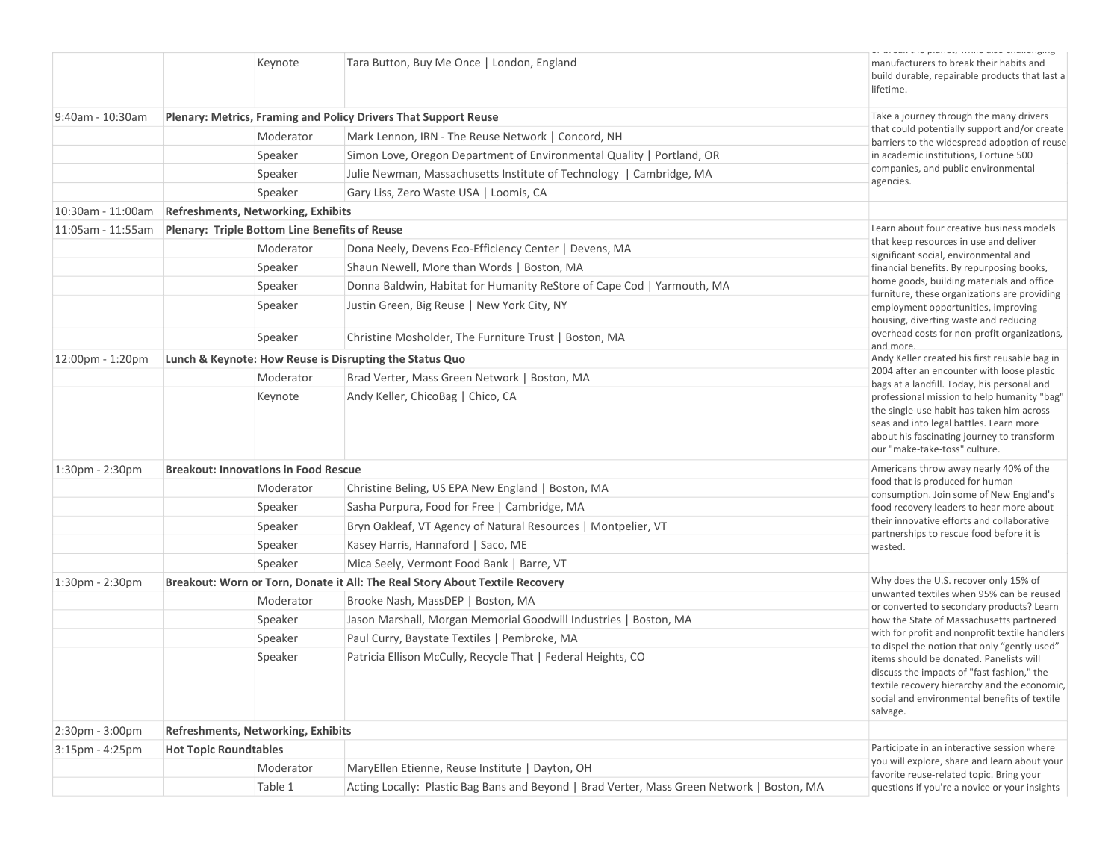|                       |                                                                              |                                                                                            | or preak the planety million also chancinging                                                                                                                                                                      |  |  |  |
|-----------------------|------------------------------------------------------------------------------|--------------------------------------------------------------------------------------------|--------------------------------------------------------------------------------------------------------------------------------------------------------------------------------------------------------------------|--|--|--|
|                       | Keynote                                                                      | Tara Button, Buy Me Once   London, England                                                 | manufacturers to break their habits and<br>build durable, repairable products that last a<br>lifetime.                                                                                                             |  |  |  |
| 9:40am - 10:30am      | Plenary: Metrics, Framing and Policy Drivers That Support Reuse              | Take a journey through the many drivers                                                    |                                                                                                                                                                                                                    |  |  |  |
|                       | Moderator                                                                    | Mark Lennon, IRN - The Reuse Network   Concord, NH                                         | that could potentially support and/or create<br>barriers to the widespread adoption of reuse                                                                                                                       |  |  |  |
|                       | Speaker                                                                      | Simon Love, Oregon Department of Environmental Quality   Portland, OR                      | in academic institutions, Fortune 500                                                                                                                                                                              |  |  |  |
|                       | Speaker                                                                      | Julie Newman, Massachusetts Institute of Technology   Cambridge, MA                        | companies, and public environmental                                                                                                                                                                                |  |  |  |
|                       | Speaker                                                                      | Gary Liss, Zero Waste USA   Loomis, CA                                                     | agencies.                                                                                                                                                                                                          |  |  |  |
| 10:30am - 11:00am     | <b>Refreshments, Networking, Exhibits</b>                                    |                                                                                            |                                                                                                                                                                                                                    |  |  |  |
| 11:05am - 11:55am     |                                                                              | <b>Plenary: Triple Bottom Line Benefits of Reuse</b>                                       |                                                                                                                                                                                                                    |  |  |  |
|                       | Moderator                                                                    | Dona Neely, Devens Eco-Efficiency Center   Devens, MA                                      | that keep resources in use and deliver<br>significant social, environmental and                                                                                                                                    |  |  |  |
|                       | Speaker                                                                      | Shaun Newell, More than Words   Boston, MA                                                 | financial benefits. By repurposing books,                                                                                                                                                                          |  |  |  |
|                       | Speaker                                                                      | Donna Baldwin, Habitat for Humanity ReStore of Cape Cod   Yarmouth, MA                     | home goods, building materials and office<br>furniture, these organizations are providing                                                                                                                          |  |  |  |
|                       | Speaker                                                                      | Justin Green, Big Reuse   New York City, NY                                                | employment opportunities, improving<br>housing, diverting waste and reducing                                                                                                                                       |  |  |  |
|                       | Speaker                                                                      | Christine Mosholder, The Furniture Trust   Boston, MA                                      | overhead costs for non-profit organizations,<br>and more.                                                                                                                                                          |  |  |  |
| 12:00pm - 1:20pm      |                                                                              | Lunch & Keynote: How Reuse is Disrupting the Status Quo                                    |                                                                                                                                                                                                                    |  |  |  |
|                       | Moderator                                                                    | Brad Verter, Mass Green Network   Boston, MA                                               | 2004 after an encounter with loose plastic<br>bags at a landfill. Today, his personal and                                                                                                                          |  |  |  |
|                       | Keynote                                                                      | Andy Keller, ChicoBag   Chico, CA                                                          | professional mission to help humanity "bag"<br>the single-use habit has taken him across<br>seas and into legal battles. Learn more<br>about his fascinating journey to transform<br>our "make-take-toss" culture. |  |  |  |
| $1:30$ pm - $2:30$ pm |                                                                              | <b>Breakout: Innovations in Food Rescue</b>                                                |                                                                                                                                                                                                                    |  |  |  |
|                       | Moderator                                                                    | Christine Beling, US EPA New England   Boston, MA                                          | food that is produced for human<br>consumption. Join some of New England's                                                                                                                                         |  |  |  |
|                       | Speaker                                                                      | Sasha Purpura, Food for Free   Cambridge, MA                                               | food recovery leaders to hear more about                                                                                                                                                                           |  |  |  |
|                       | Speaker                                                                      | Bryn Oakleaf, VT Agency of Natural Resources   Montpelier, VT                              | their innovative efforts and collaborative<br>partnerships to rescue food before it is                                                                                                                             |  |  |  |
|                       | Speaker                                                                      | Kasey Harris, Hannaford   Saco, ME                                                         | wasted.                                                                                                                                                                                                            |  |  |  |
|                       | Speaker                                                                      | Mica Seely, Vermont Food Bank   Barre, VT                                                  |                                                                                                                                                                                                                    |  |  |  |
| $1:30pm - 2:30pm$     | Breakout: Worn or Torn, Donate it All: The Real Story About Textile Recovery | Why does the U.S. recover only 15% of<br>unwanted textiles when 95% can be reused          |                                                                                                                                                                                                                    |  |  |  |
|                       | Moderator                                                                    | Brooke Nash, MassDEP   Boston, MA                                                          | or converted to secondary products? Learn                                                                                                                                                                          |  |  |  |
|                       | Speaker                                                                      | Jason Marshall, Morgan Memorial Goodwill Industries   Boston, MA                           | how the State of Massachusetts partnered                                                                                                                                                                           |  |  |  |
|                       | Speaker                                                                      | Paul Curry, Baystate Textiles   Pembroke, MA                                               | with for profit and nonprofit textile handlers<br>to dispel the notion that only "gently used"                                                                                                                     |  |  |  |
|                       | Speaker                                                                      | Patricia Ellison McCully, Recycle That   Federal Heights, CO                               | items should be donated. Panelists will<br>discuss the impacts of "fast fashion," the<br>textile recovery hierarchy and the economic,<br>social and environmental benefits of textile<br>salvage.                  |  |  |  |
| 2:30pm - 3:00pm       | Refreshments, Networking, Exhibits                                           |                                                                                            |                                                                                                                                                                                                                    |  |  |  |
| $3:15$ pm - $4:25$ pm | <b>Hot Topic Roundtables</b>                                                 | Participate in an interactive session where                                                |                                                                                                                                                                                                                    |  |  |  |
|                       | Moderator                                                                    | MaryEllen Etienne, Reuse Institute   Dayton, OH                                            | you will explore, share and learn about your<br>favorite reuse-related topic. Bring your                                                                                                                           |  |  |  |
|                       | Table 1                                                                      | Acting Locally: Plastic Bag Bans and Beyond   Brad Verter, Mass Green Network   Boston, MA | questions if you're a novice or your insights                                                                                                                                                                      |  |  |  |